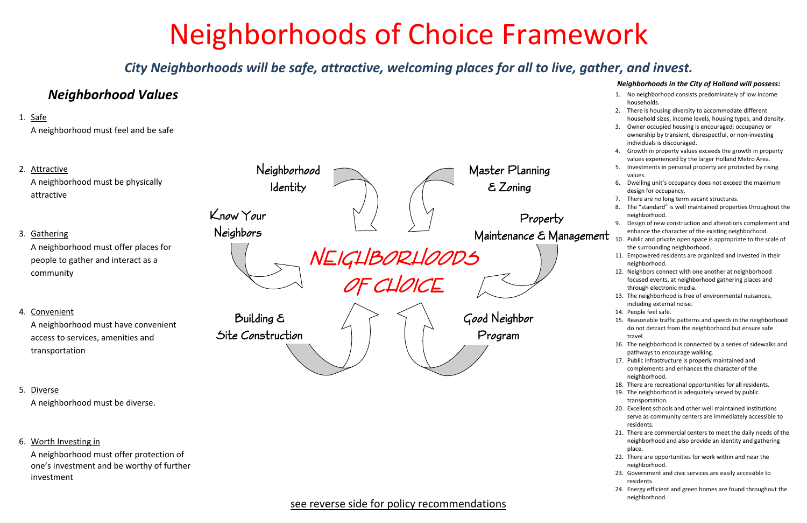# Neighborhoods of Choice Framework

*City Neighborhoods will be safe, attractive, welcoming places for all to live, gather, and invest.*

#### *Neighborhoods in the City of Holland will possess:*

- 1. No neighborhood consists predominately of low income households.
- 2. There is housing diversity to accommodate different household sizes, income levels, housing types, and density.
- 3. Owner occupied housing is encouraged; occupancy or ownership by transient, disrespectful, or non‐investing individuals is discouraged.
- 4. Growth in property values exceeds the growth in property values experienced by the larger Holland Metro Area.
- 5.. Investments in personal property are protected by rising values.
- 6. Dwelling unit's occupancy does not exceed the maximum design for occupancy.
- 7. There are no long term vacant structures.
- 8. The "standard" is well maintained properties throughout the neighborhood.
- 9. Design of new construction and alterations complement and enhance the character of the existing neighborhood.
- 10. Public and private open space is appropriate to the scale of the surrounding neighborhood.
- 11. Empowered residents are organized and invested in their neighborhood.
- 12. Neighbors connect with one another at neighborhood focused events, at neighborhood gathering places and through electronic media.
- 13. The neighborhood is free of environmental nuisances, including external noise.
- 14. People feel safe.
- 15. Reasonable traffic patterns and speeds in the neighborhood do not detract from the neighborhood but ensure safe travel.
- 16. The neighborhood is connected by <sup>a</sup> series of sidewalks and pathways to encourage walking.
- 17. Public infrastructure is properly maintained and complements and enhances the character of the neighborhood.
- 18. There are recreational opportunities for all residents.
- 19. The neighborhood is adequately served by public transportation.
- 20. Excellent schools and other well maintained institutions serve as community centers are immediately accessible to residents.
- 21. There are commercial centers to meet the daily needs of the neighborhood and also provide an identity and gathering place.
- 22. There are opportunities for work within and near the neighborhood.
- 23. Government and civic services are easily accessible to residents.
- 24. Energy efficient and green homes are found throughout the neighborhood.

# *Neighborhood Values*

## 1. Safe

A neighborhood must feel and be safe

- 2. Attractive A neighborhood must be physically attractive3. <u>Gathering</u> A neighborhood must offer places for people to gather and interact as <sup>a</sup> community 4. Convenient A neighborhood must have convenient access to services, amenities and transportation NEIGHBORHOODS OF CHOICE Know Your Neighbors Neighborhood Identity Master Planning & Zoning Property Maintenance & Management Building & Site Construction Good Neighbor Program
- 5. Diverse A neighborhood must be diverse.
- 6. Worth Investing in

A neighborhood must offer protection of one's investment and be worthy of further investment

# see reverse side for policy recommendations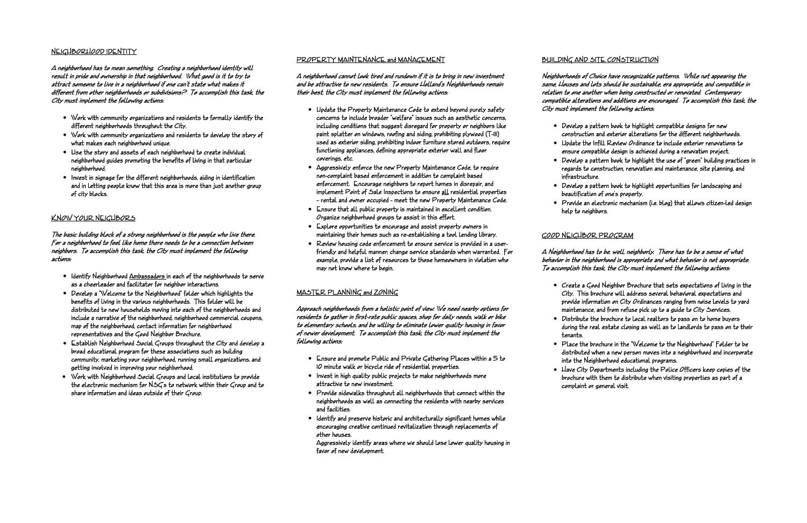#### NEIGHBORHOOD IDENTITY

A neighborhood has to mean something. Creating a neighborhood identity will result in pride and ownership in that neighborhood. What good is it to try to attract someone to live in a neighborhood if one can't state what makes it different from other neighborhoods or subdivisions? To accomplish this task, the City must implement the following actions:

The basic building block of a strong neighborhood is the people who live there. For a neighborhood to feel like home there needs to be a connection between neighbors. To accomplish this task, the City must implement the following actions:

- Work with community organizations and residents to formally identify the different neighborhoods throughout the City.
- Work with community organizations and residents to develop the story of what makes each neighborhood unique.
- Use the story and assets of each neighborhood to create individual neighborhood guides promoting the benefits of living in that particular neighborhood.
- Invest in signage for the different neighborhoods, aiding in identification and in letting people know that this area is more than just another group of city blocks.

#### KNOW YOUR NEIGHBORS

- Identify Neighborhood Ambassadors in each of the neighborhoods to serve as a cheerleader and facilitator for neighbor interactions.
- Develop a "Welcome to the Neighborhood" folder which highlights the benefits of living in the various neighborhoods. This folder will be distributed to new households moving into each of the neighborhoods and include a narrative of the neighborhood, neighborhood commercial coupons, map of the neighborhood, contact information for neighborhood representatives and the Good Neighbor Brochure.
- Establish Neighborhood Social Groups throughout the City and develop a broad educational program for these associations such as building community, marketing your neighborhood, running small organizations, and getting involved in improving your neighborhood.
- Work with Neighborhood Social Groups and local institutions to provide the electronic mechanism for NSG's to network within their Group and to share information and ideas outside of their Group.

#### PROPERTY MAINTENANCE and MANAGEMENT

A neighborhood cannot look tired and rundown if it is to bring in new investment and be attractive to new residents. To ensure Holland's Neighborhoods remain their best, the City must implement the following actions:

- Update the Property Maintenance Code to extend beyond purely safety concerns to include broader "welfare" issues such as aesthetic concerns, including conditions that suggest disregard for property or neighbors like paint splatter on windows, roofing and siding, prohibiting plywood (T-III) used as exterior siding, prohibiting indoor furniture stored outdoors, require functioning appliances, defining appropriate exterior wall and floor coverings, etc.
- Aggressively enforce the new Property Maintenance Code, to require non-complaint based enforcement in addition to complaint based enforcement. Encourage neighbors to report homes in disrepair, and implement Point of Sale Inspections to ensure all residential properties – rental and owner occupied - meet the new Property Maintenance Code.
- Ensure that all public property is maintained in excellent condition. Organize neighborhood groups to assist in this effort.
- Explore opportunities to encourage and assist property owners in maintaining their homes such as re-establishing a tool lending library.
- Review housing code enforcement to ensure service is provided in a userfriendly and helpful manner; change service standards when warranted. For example, provide a list of resources to those homeowners in violation who may not know where to begin.

#### MASTER PLANNING and ZONING

Approach neighborhoods from a holistic point of view. We need nearby options for residents to gather in first-rate public spaces, shop for daily needs, walk or bike to elementary schools, and be willing to eliminate lower quality housing in favor of newer development. To accomplish this task, the City must implement the following actions:

- Ensure and promote Public and Private Gathering Places within a 5 to 10 minute walk or bicycle ride of residential properties.
- Invest in high quality public projects to make neighborhoods more attractive to new investment.
- Provide sidewalks throughout all neighborhoods that connect within the neighborhoods as well as connecting the residents with nearby services and facilities.
- Identify and preserve historic and architecturally significant homes while encouraging creative continued revitalization through replacements of other houses.

Aggressively identify areas where we should lose lower quality housing in favor of new development.

#### BUILDING AND SITE CONSTRUCTION

Neighborhoods of Choice have recognizable patterns. While not appearing the same, Houses and lots should be sustainable, era appropriate, and compatible in relation to one another when being constructed or renovated. Contemporary compatible alterations and additions are encouraged. To accomplish this task, the City must implement the following actions:

• Develop a pattern book to highlight compatible designs for new construction and exterior alterations for the different neighborhoods. • Update the Infill Review Ordinance to include exterior renovations to ensure compatible design is achieved during a renovation project. • Develop a pattern book to highlight the use of "green" building practices in regards to construction, renovation and maintenance, site planning, and

• Develop a pattern book to highlight opportunities for landscaping and beautification of one's property.

- 
- 
- infrastructure.
- 
- help to neighbors.

• Provide an electronic mechanism (i.e. blog) that allows citizen-led design

#### GOOD NEIGHBOR PROGRAM

A Neighborhood has to be, well, neighborly. There has to be a sense of what behavior in the neighborhood is appropriate and what behavior is not appropriate. To accomplish this task, the City must implement the following actions:

• Create a Good Neighbor Brochure that sets expectations of living in the City. This brochure will address several behavioral expectations and provide information on City Ordinances ranging from noise levels to yard maintenance, and from refuse pick up to a guide to City Services. • Distribute the brochure to local realtors to pass on to home buyers during the real estate closing as well as to landlords to pass on to their

- 
- tenants.
- 
- 

• Place the brochure in the "Welcome to the Neighborhood" Folder to be distributed when a new person moves into a neighborhood and incorporate into the Neighborhood educational programs.

• Have City Departments including the Police Officers keep copies of the brochure with them to distribute when visiting properties as part of a complaint or general visit.